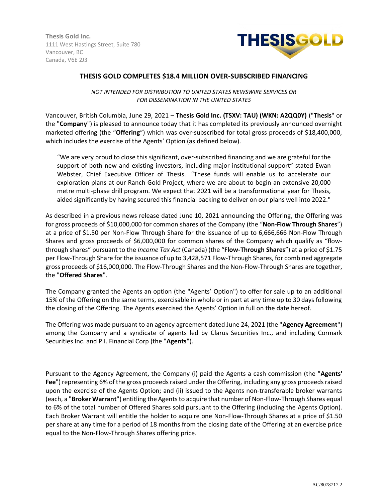**Thesis Gold Inc.** 1111 West Hastings Street, Suite 780 Vancouver, BC Canada, V6E 2J3



# **THESIS GOLD COMPLETES \$18.4 MILLION OVER-SUBSCRIBED FINANCING**

*NOT INTENDED FOR DISTRIBUTION TO UNITED STATES NEWSWIRE SERVICES OR FOR DISSEMINATION IN THE UNITED STATES*

Vancouver, British Columbia, June 29, 2021 – **Thesis Gold Inc. (TSXV: TAU) (WKN: A2QQ0Y)** ("**Thesis**" or the "**Company**") is pleased to announce today that it has completed its previously announced overnight marketed offering (the "**Offering**") which was over-subscribed for total gross proceeds of \$18,400,000, which includes the exercise of the Agents' Option (as defined below).

"We are very proud to close this significant, over-subscribed financing and we are grateful for the support of both new and existing investors, including major institutional support" stated Ewan Webster, Chief Executive Officer of Thesis. "These funds will enable us to accelerate our exploration plans at our Ranch Gold Project, where we are about to begin an extensive 20,000 metre multi-phase drill program. We expect that 2021 will be a transformational year for Thesis, aided significantly by having secured this financial backing to deliver on our plans well into 2022."

As described in a previous news release dated June 10, 2021 announcing the Offering, the Offering was for gross proceeds of \$10,000,000 for common shares of the Company (the "**Non-Flow Through Shares**") at a price of \$1.50 per Non-Flow Through Share for the issuance of up to 6,666,666 Non-Flow Through Shares and gross proceeds of \$6,000,000 for common shares of the Company which qualify as "flowthrough shares" pursuant to the *Income Tax Act* (Canada) (the "**Flow-Through Shares**") at a price of \$1.75 per Flow-Through Share for the issuance of up to 3,428,571 Flow-Through Shares, for combined aggregate gross proceeds of \$16,000,000. The Flow-Through Shares and the Non-Flow-Through Shares are together, the "**Offered Shares**".

The Company granted the Agents an option (the "Agents' Option") to offer for sale up to an additional 15% of the Offering on the same terms, exercisable in whole or in part at any time up to 30 days following the closing of the Offering. The Agents exercised the Agents' Option in full on the date hereof.

The Offering was made pursuant to an agency agreement dated June 24, 2021 (the "**Agency Agreement**") among the Company and a syndicate of agents led by Clarus Securities Inc., and including Cormark Securities Inc. and P.I. Financial Corp (the "**Agents**").

Pursuant to the Agency Agreement, the Company (i) paid the Agents a cash commission (the "**Agents' Fee**") representing 6% of the gross proceeds raised under the Offering, including any gross proceeds raised upon the exercise of the Agents Option; and (ii) issued to the Agents non-transferable broker warrants (each, a "**Broker Warrant**") entitling the Agents to acquire that number of Non-Flow-Through Shares equal to 6% of the total number of Offered Shares sold pursuant to the Offering (including the Agents Option). Each Broker Warrant will entitle the holder to acquire one Non-Flow-Through Shares at a price of \$1.50 per share at any time for a period of 18 months from the closing date of the Offering at an exercise price equal to the Non-Flow-Through Shares offering price.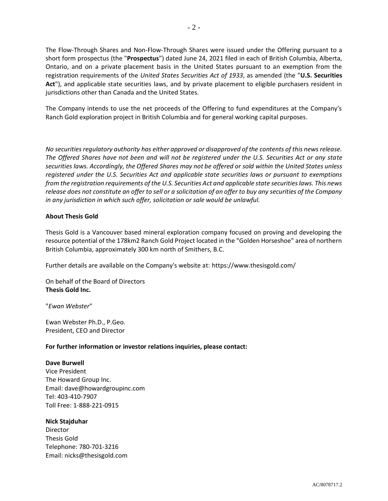The Flow-Through Shares and Non-Flow-Through Shares were issued under the Offering pursuant to a short form prospectus (the "**Prospectus**") dated June 24, 2021 filed in each of British Columbia, Alberta, Ontario, and on a private placement basis in the United States pursuant to an exemption from the registration requirements of the *United States Securities Act of 1933*, as amended (the "**U.S. Securities Act**"), and applicable state securities laws, and by private placement to eligible purchasers resident in jurisdictions other than Canada and the United States.

The Company intends to use the net proceeds of the Offering to fund expenditures at the Company's Ranch Gold exploration project in British Columbia and for general working capital purposes.

*No securities regulatory authority has either approved or disapproved of the contents of this news release. The Offered Shares have not been and will not be registered under the U.S. Securities Act or any state securities laws. Accordingly, the Offered Shares may not be offered or sold within the United States unless registered under the U.S. Securities Act and applicable state securities laws or pursuant to exemptions from the registration requirements of the U.S. Securities Act and applicable state securities laws. This news release does not constitute an offer to sell or a solicitation of an offer to buy any securities of the Company in any jurisdiction in which such offer, solicitation or sale would be unlawful.*

# **About Thesis Gold**

Thesis Gold is a Vancouver based mineral exploration company focused on proving and developing the resource potential of the 178km2 Ranch Gold Project located in the "Golden Horseshoe" area of northern British Columbia, approximately 300 km north of Smithers, B.C.

Further details are available on the Company's website at: https://www.thesisgold.com/

On behalf of the Board of Directors **Thesis Gold Inc.**

"*Ewan Webster*"

Ewan Webster Ph.D., P.Geo. President, CEO and Director

#### **For further information or investor relations inquiries, please contact:**

#### **Dave Burwell**

Vice President The Howard Group Inc. Email: dave@howardgroupinc.com Tel: 403-410-7907 Toll Free: 1-888-221-0915

## **Nick Stajduhar**

Director Thesis Gold Telephone: 780-701-3216 Email: nicks@thesisgold.com